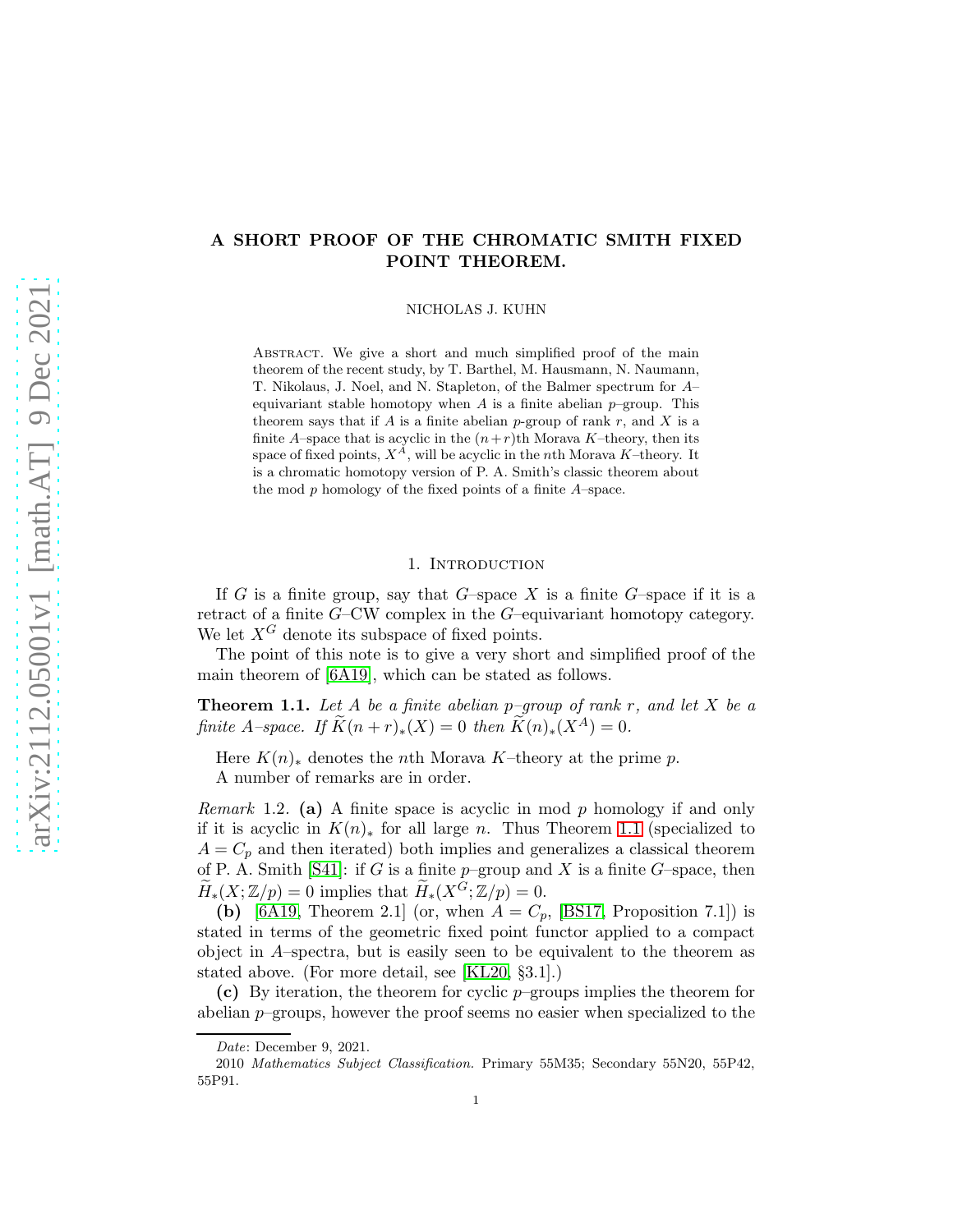# arXiv:2112.05001v1 [math.AT] 9 Dec 2021 [arXiv:2112.05001v1 \[math.AT\] 9 Dec 2021](http://arxiv.org/abs/2112.05001v1)

# A SHORT PROOF OF THE CHROMATIC SMITH FIXED POINT THEOREM.

NICHOLAS J. KUHN

ABSTRACT. We give a short and much simplified proof of the main theorem of the recent study, by T. Barthel, M. Hausmann, N. Naumann, T. Nikolaus, J. Noel, and N. Stapleton, of the Balmer spectrum for A– equivariant stable homotopy when  $A$  is a finite abelian  $p$ –group. This theorem says that if A is a finite abelian p-group of rank r, and X is a finite A–space that is acyclic in the  $(n+r)$ th Morava K–theory, then its space of fixed points,  $X^A$ , will be acyclic in the nth Morava K–theory. It is a chromatic homotopy version of P. A. Smith's classic theorem about the mod  $p$  homology of the fixed points of a finite  $A$ -space.

# 1. INTRODUCTION

If G is a finite group, say that G-space X is a finite G-space if it is a retract of a finite G–CW complex in the G–equivariant homotopy category. We let  $X^G$  denote its subspace of fixed points.

The point of this note is to give a very short and simplified proof of the main theorem of [6A19], which can be stated as follows.

<span id="page-0-0"></span>**Theorem 1.1.** Let A be a finite abelian p-group of rank r, and let X be a finite A–space. If  $\widetilde{K}(n+r)_*(X) = 0$  then  $\widetilde{K}(n)_*(X^A) = 0$ .

Here  $K(n)_*$  denotes the *n*th Morava K–theory at the prime p.

A number of remarks are in order.

*Remark* 1.2. (a) A finite space is acyclic in mod  $p$  homology if and only if it is acyclic in  $K(n)_*$  for all large n. Thus Theorem [1.1](#page-0-0) (specialized to  $A = C_p$  and then iterated) both implies and generalizes a classical theorem of P. A. Smith [S41]: if G is a finite  $p$ -group and X is a finite G-space, then  $\widetilde{H}_*(X;\mathbb{Z}/p) = 0$  implies that  $\widetilde{H}_*(X^G;\mathbb{Z}/p) = 0$ .

(b) [6A19, Theorem 2.1] (or, when  $A = C_p$ , [BS17, Proposition 7.1]) is stated in terms of the geometric fixed point functor applied to a compact object in A–spectra, but is easily seen to be equivalent to the theorem as stated above. (For more detail, see [KL20, §3.1].)

(c) By iteration, the theorem for cyclic  $p$ -groups implies the theorem for abelian  $p$ –groups, however the proof seems no easier when specialized to the

Date: December 9, 2021.

<sup>2010</sup> Mathematics Subject Classification. Primary 55M35; Secondary 55N20, 55P42, 55P91.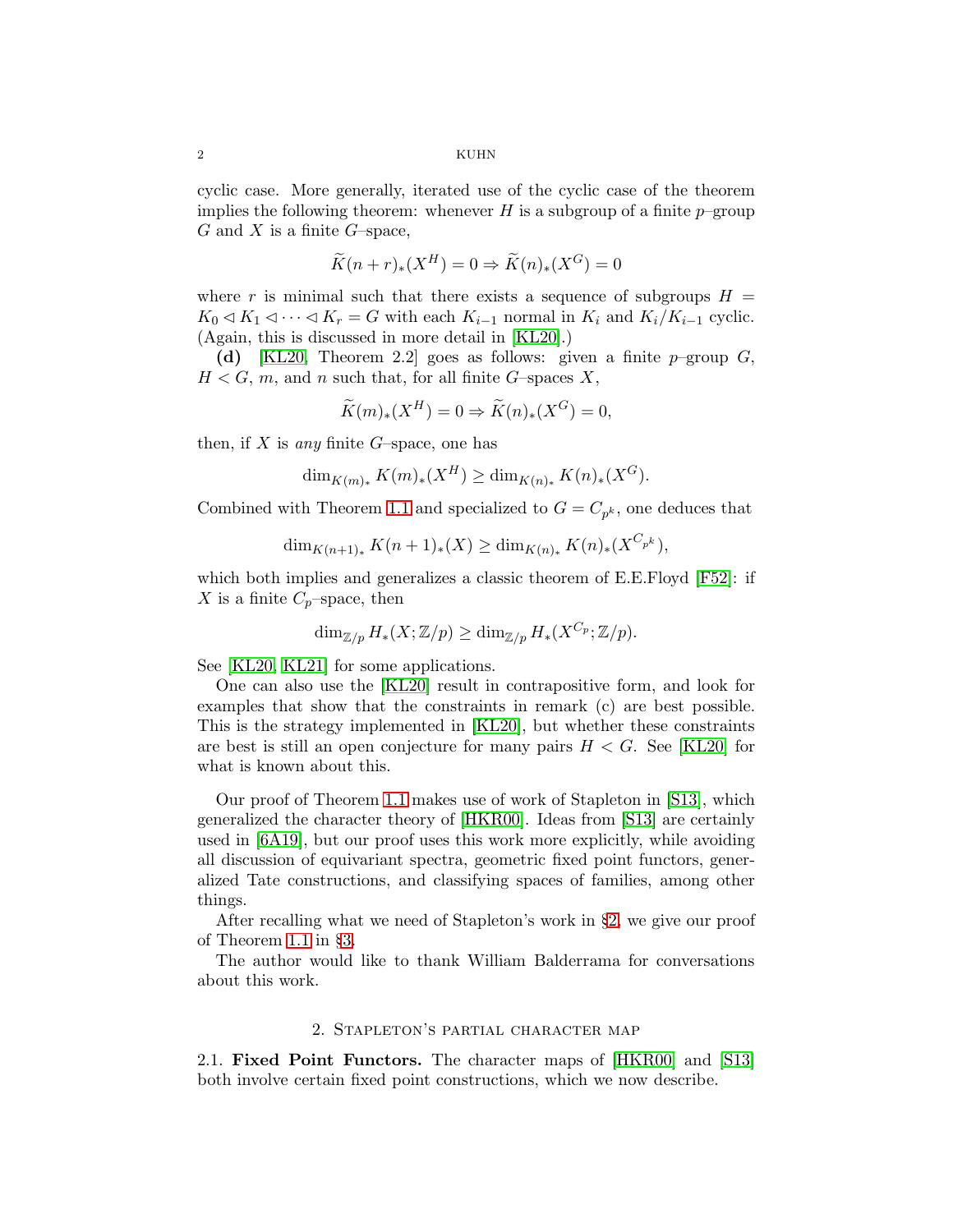cyclic case. More generally, iterated use of the cyclic case of the theorem implies the following theorem: whenever H is a subgroup of a finite  $p$ –group  $G$  and  $X$  is a finite  $G$ -space,

$$
\widetilde{K}(n+r)_*(X^H) = 0 \Rightarrow \widetilde{K}(n)_*(X^G) = 0
$$

where r is minimal such that there exists a sequence of subgroups  $H =$  $K_0 \lhd K_1 \lhd \cdots \lhd K_r = G$  with each  $K_{i-1}$  normal in  $K_i$  and  $K_i/K_{i-1}$  cyclic. (Again, this is discussed in more detail in [KL20].)

(d) [KL20, Theorem 2.2] goes as follows: given a finite  $p$ -group  $G$ ,  $H < G$ , m, and n such that, for all finite G-spaces X,

$$
\widetilde{K}(m)_*(X^H) = 0 \Rightarrow \widetilde{K}(n)_*(X^G) = 0,
$$

then, if  $X$  is any finite  $G$ -space, one has

$$
\dim_{K(m)*} K(m)_*(X^H) \ge \dim_{K(n)*} K(n)_*(X^G).
$$

Combined with Theorem [1.1](#page-0-0) and specialized to  $G = C_{p^k}$ , one deduces that

$$
\dim_{K(n+1)_*} K(n+1)_*(X) \ge \dim_{K(n)_*} K(n)_*(X^{C_{p^k}}),
$$

which both implies and generalizes a classic theorem of E.E.Floyd [F52]: if X is a finite  $C_p$ –space, then

$$
\dim_{\mathbb{Z}/p} H_*(X;\mathbb{Z}/p) \ge \dim_{\mathbb{Z}/p} H_*(X^{C_p};\mathbb{Z}/p).
$$

See [KL20, KL21] for some applications.

One can also use the [KL20] result in contrapositive form, and look for examples that show that the constraints in remark (c) are best possible. This is the strategy implemented in [KL20], but whether these constraints are best is still an open conjecture for many pairs 
$$
H < G
$$
. See [KL20] for what is known about this.

Our proof of Theorem [1.1](#page-0-0) makes use of work of Stapleton in [\[S13\]](#page-4-0), which generalized the character theory of [\[HKR00\]](#page-4-1). Ideas from [\[S13\]](#page-4-0) are certainly used in [6A19], but our proof uses this work more explicitly, while avoiding all discussion of equivariant spectra, geometric fixed point functors, generalized Tate constructions, and classifying spaces of families, among other things.

After recalling what we need of Stapleton's work in §[2,](#page-1-0) we give our proof of Theorem [1.1](#page-0-0) in §[3.](#page-3-0)

<span id="page-1-0"></span>The author would like to thank William Balderrama for conversations about this work.

### 2. Stapleton's partial character map

2.1. Fixed Point Functors. The character maps of [\[HKR00\]](#page-4-1) and [\[S13\]](#page-4-0) both involve certain fixed point constructions, which we now describe.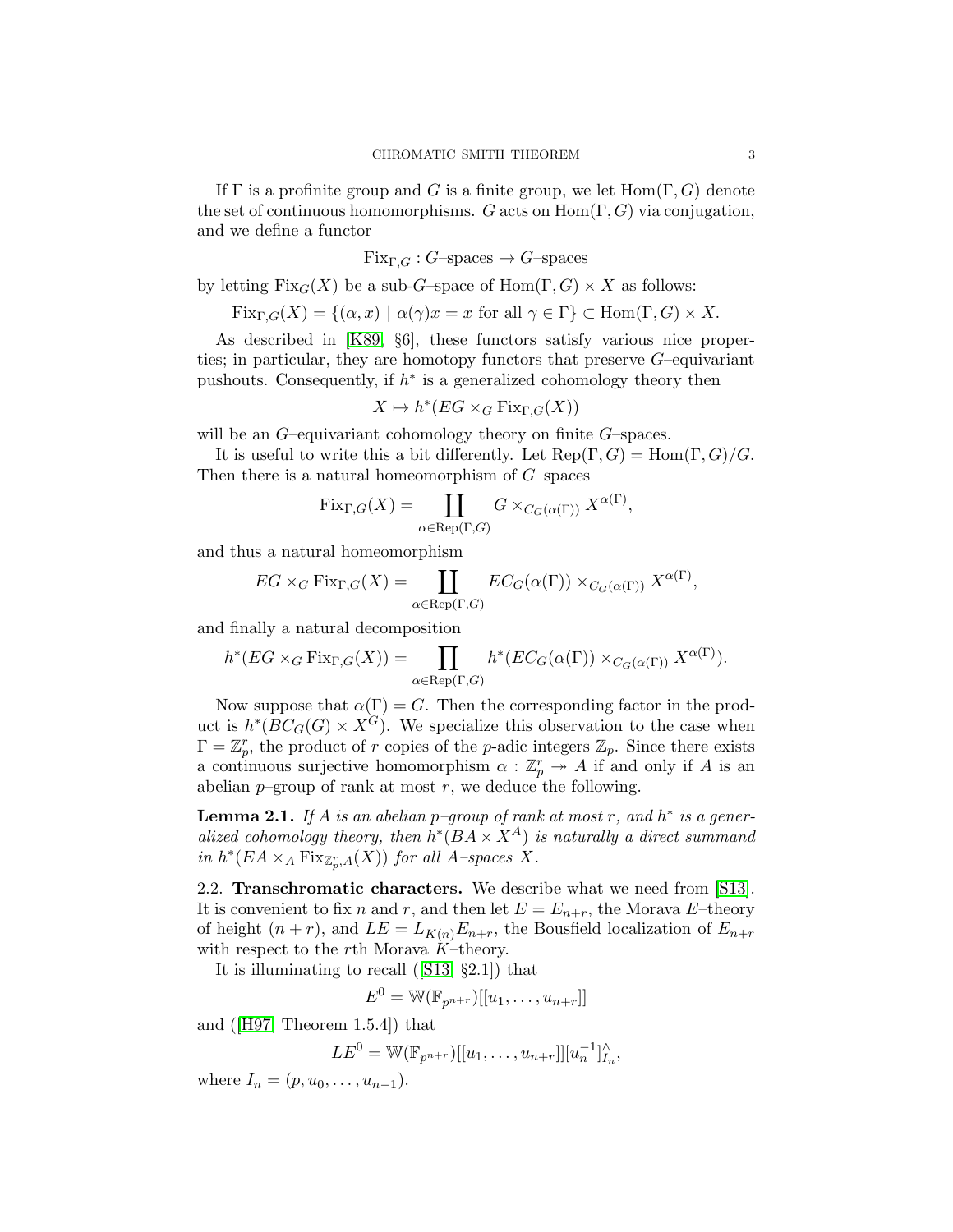If  $\Gamma$  is a profinite group and G is a finite group, we let  $\text{Hom}(\Gamma, G)$  denote the set of continuous homomorphisms. G acts on  $\text{Hom}(\Gamma, G)$  via conjugation, and we define a functor

 $Fix_{\Gamma,G}:G$ –spaces  $\rightarrow G$ –spaces

by letting  $Fix_G(X)$  be a sub-G–space of  $Hom(\Gamma, G) \times X$  as follows:

$$
Fix_{\Gamma,G}(X) = \{ (\alpha, x) \mid \alpha(\gamma)x = x \text{ for all } \gamma \in \Gamma \} \subset \text{Hom}(\Gamma, G) \times X.
$$

As described in [K89, §6], these functors satisfy various nice properties; in particular, they are homotopy functors that preserve  $G$ –equivariant pushouts. Consequently, if  $h^*$  is a generalized cohomology theory then

$$
X \mapsto h^*(EG \times_G \operatorname{Fix}_{\Gamma,G}(X))
$$

will be an  $G$ -equivariant cohomology theory on finite  $G$ -spaces.

It is useful to write this a bit differently. Let  $\text{Rep}(\Gamma, G) = \text{Hom}(\Gamma, G)/G$ . Then there is a natural homeomorphism of  $G$ –spaces

$$
\mathrm{Fix}_{\Gamma,G}(X)=\coprod_{\alpha\in \mathrm{Rep}(\Gamma,G)}G\times_{C_G(\alpha(\Gamma))}X^{\alpha(\Gamma)},
$$

and thus a natural homeomorphism

$$
EG \times_G \text{Fix}_{\Gamma,G}(X) = \coprod_{\alpha \in \text{Rep}(\Gamma,G)} EC_G(\alpha(\Gamma)) \times_{C_G(\alpha(\Gamma))} X^{\alpha(\Gamma)},
$$

and finally a natural decomposition

$$
h^*(EG \times_G \text{Fix}_{\Gamma,G}(X)) = \prod_{\alpha \in \text{Rep}(\Gamma,G)} h^*(EC_G(\alpha(\Gamma)) \times_{C_G(\alpha(\Gamma))} X^{\alpha(\Gamma)}).
$$

Now suppose that  $\alpha(\Gamma) = G$ . Then the corresponding factor in the product is  $h^*(\overline{BC}_G(G) \times X^G)$ . We specialize this observation to the case when  $\Gamma = \mathbb{Z}_p^r$ , the product of r copies of the p-adic integers  $\mathbb{Z}_p$ . Since there exists a continuous surjective homomorphism  $\alpha : \mathbb{Z}_p^r \to A$  if and only if A is an abelian  $p$ -group of rank at most  $r$ , we deduce the following.

<span id="page-2-1"></span>**Lemma 2.1.** If A is an abelian p-group of rank at most r, and  $h^*$  is a generalized cohomology theory, then  $h^*(BA \times X^A)$  is naturally a direct summand in  $h^*(EA \times_A \text{Fix}_{\mathbb{Z}_p^r,A}(X))$  for all A-spaces X.

<span id="page-2-0"></span>2.2. Transchromatic characters. We describe what we need from [\[S13\]](#page-4-0). It is convenient to fix n and r, and then let  $E = E_{n+r}$ , the Morava E-theory of height  $(n + r)$ , and  $LE = L_{K(n)}E_{n+r}$ , the Bousfield localization of  $E_{n+r}$ with respect to the rth Morava  $K$ –theory.

It is illuminating to recall([\[S13,](#page-4-0) §2.1]) that

$$
E^0 = \mathbb{W}(\mathbb{F}_{p^{n+r}})[[u_1, \ldots, u_{n+r}]]
$$

and([\[H97,](#page-4-2) Theorem 1.5.4]) that

$$
LE^{0} = W(\mathbb{F}_{p^{n+r}})[[u_1, \ldots, u_{n+r}]] [u_n^{-1}]_{I_n}^{\wedge},
$$

where  $I_n = (p, u_0, \ldots, u_{n-1}).$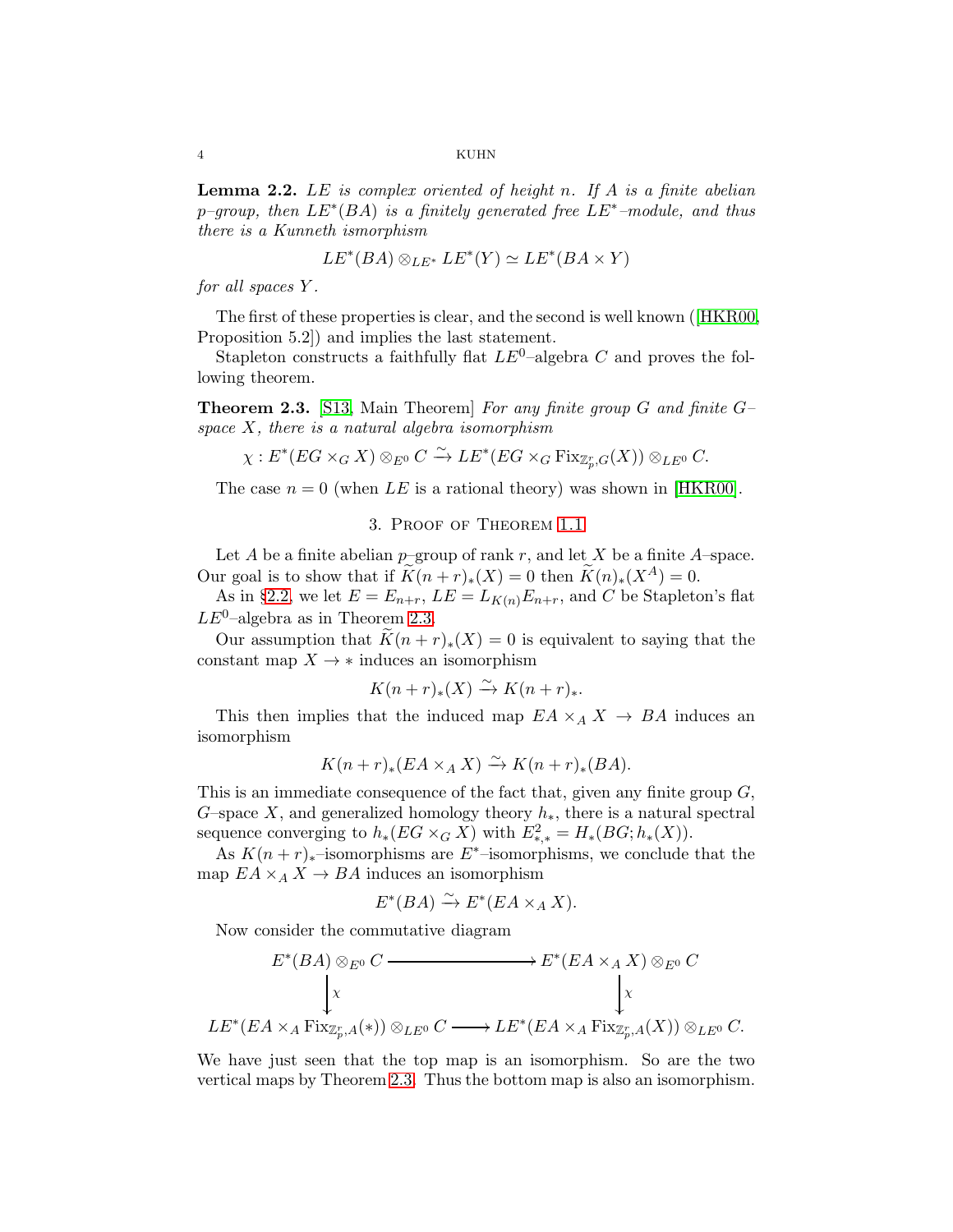4 KUHN

<span id="page-3-2"></span>**Lemma 2.2.** LE is complex oriented of height n. If A is a finite abelian p–group, then  $LE^*(BA)$  is a finitely generated free  $LE^*$ –module, and thus there is a Kunneth ismorphism

$$
LE^*(BA) \otimes_{LE^*} LE^*(Y) \simeq LE^*(BA \times Y)
$$

for all spaces Y .

The first of these properties is clear, and the second is well known([\[HKR00,](#page-4-1) Proposition 5.2]) and implies the last statement.

Stapleton constructs a faithfully flat  $LE^0$ -algebra C and proves the following theorem.

<span id="page-3-1"></span>**Theorem 2.3.** [\[S13,](#page-4-0) Main Theorem] For any finite group G and finite  $G$ space  $X$ , there is a natural algebra isomorphism

$$
\chi: E^*(EG \times_G X) \otimes_{E^0} C \xrightarrow{\sim} LE^*(EG \times_G \text{Fix}_{\mathbb{Z}_p^r, G}(X)) \otimes_{LE^0} C.
$$

<span id="page-3-0"></span>The case  $n = 0$  (when LE is a rational theory) was shown in [\[HKR00\]](#page-4-1).

# 3. Proof of Theorem [1.1](#page-0-0)

Let A be a finite abelian  $p$ –group of rank r, and let X be a finite A–space. Our goal is to show that if  $\widetilde{K}(n+r)_*(X) = 0$  then  $\widetilde{K}(n)_*(X^A) = 0$ .

As in §[2.2,](#page-2-0) we let  $E = E_{n+r}$ ,  $LE = L_{K(n)}E_{n+r}$ , and C be Stapleton's flat  $LE^0$ -algebra as in Theorem [2.3.](#page-3-1)

Our assumption that  $K(n + r)_*(X) = 0$  is equivalent to saying that the constant map  $X \to *$  induces an isomorphism

$$
K(n+r)_{*}(X) \xrightarrow{\sim} K(n+r)_{*}.
$$

This then implies that the induced map  $EA \times_A X \to BA$  induces an isomorphism

$$
K(n+r)_*(EA \times_A X) \xrightarrow{\sim} K(n+r)_*(BA).
$$

This is an immediate consequence of the fact that, given any finite group  $G$ , G–space X, and generalized homology theory  $h_*$ , there is a natural spectral sequence converging to  $h_*(EG \times_G X)$  with  $E^2_{*,*} = H_*(BG; h_*(X)).$ 

As  $K(n + r)_{*}$ –isomorphisms are E<sup>\*</sup>–isomorphisms, we conclude that the map  $EA \times_A X \to BA$  induces an isomorphism

$$
E^*(BA) \xrightarrow{\sim} E^*(EA \times_A X).
$$

Now consider the commutative diagram

$$
E^*(BA) \otimes_{E^0} C \longrightarrow E^*(EA \times_A X) \otimes_{E^0} C
$$
  
\n
$$
\downarrow x \qquad \qquad \downarrow x
$$
  
\n
$$
LE^*(EA \times_A \text{Fix}_{\mathbb{Z}_p^r,A}(*)) \otimes_{LE^0} C \longrightarrow LE^*(EA \times_A \text{Fix}_{\mathbb{Z}_p^r,A}(*)) \otimes_{LE^0} C.
$$

We have just seen that the top map is an isomorphism. So are the two vertical maps by Theorem [2.3.](#page-3-1) Thus the bottom map is also an isomorphism.